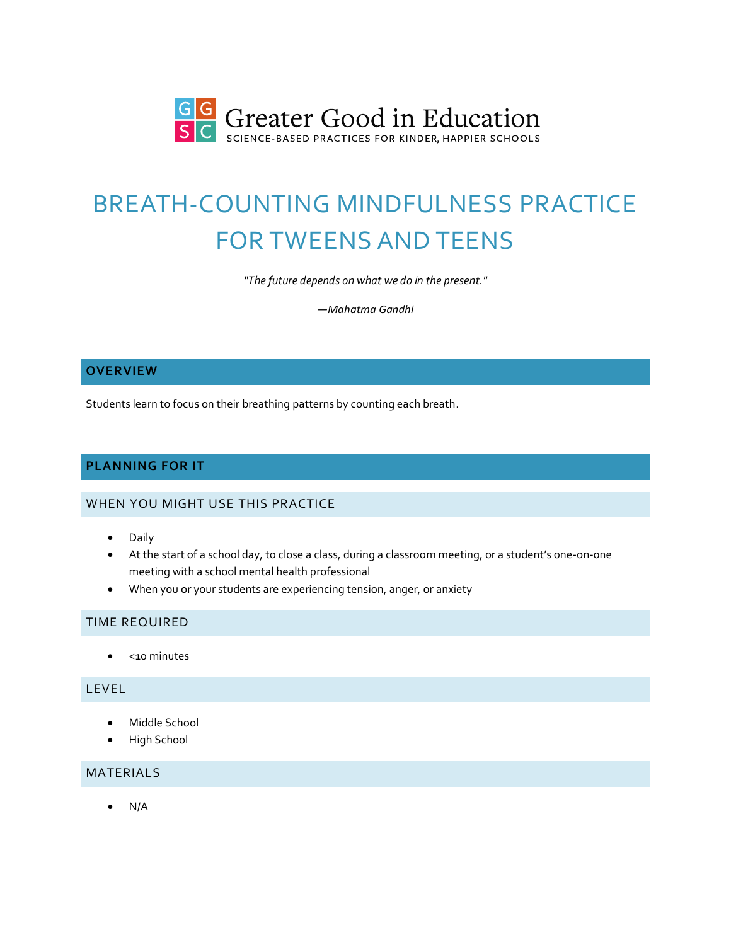

# BREATH-COUNTING MINDFULNESS PRACTICE FOR TWEENS AND TEENS

*"The future depends on what we do in the present."*

*—Mahatma Gandhi*

# **OVERVIEW**

Students learn to focus on their breathing patterns by counting each breath.

# **PLANNING FOR IT**

# WHEN YOU MIGHT USE THIS PRACTICE

- Daily
- At the start of a school day, to close a class, during a classroom meeting, or a student's one-on-one meeting with a school mental health professional
- When you or your students are experiencing tension, anger, or anxiety

#### TIME REQUIRED

• <10 minutes

### LEVEL

- Middle School
- High School

#### MATERIALS

• N/A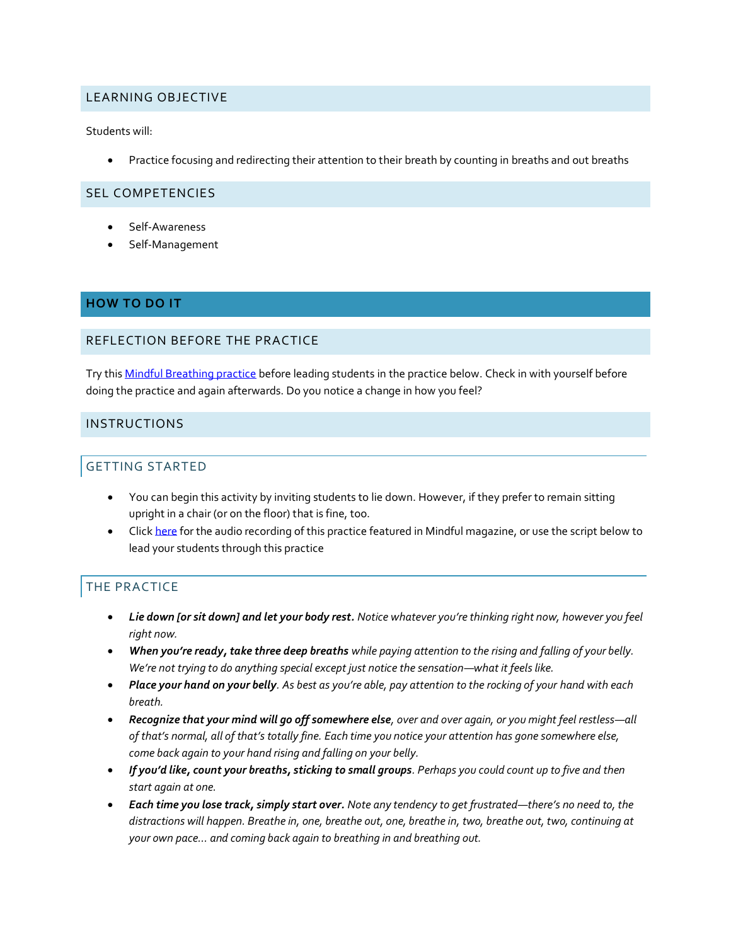# LEARNING OBJECTIVE

Students will:

• Practice focusing and redirecting their attention to their breath by counting in breaths and out breaths

#### SEL COMPETENCIES

- Self-Awareness
- Self-Management

#### **HOW TO DO IT**

#### REFLECTION BEFORE THE PRACTICE

Try this [Mindful Breathing practice](https://ggia.berkeley.edu/practice/mindful_breathing) before leading students in the practice below. Check in with yourself before doing the practice and again afterwards. Do you notice a change in how you feel?

### INSTRUCTIONS

# GETTING STARTED

- You can begin this activity by inviting students to lie down. However, if they prefer to remain sitting upright in a chair (or on the floor) that is fine, too.
- Click [here](https://www.mindful.org/a-mindful-breath-counting-practice-for-teens-and-tweens/) for the audio recording of this practice featured in Mindful magazine, or use the script below to lead your students through this practice

# THE PRACTICE

- *Lie down [or sit down] and let your body rest. Notice whatever you're thinking right now, however you feel right now.*
- *When you're ready, take three deep breaths while paying attention to the rising and falling of your belly. We're not trying to do anything special except just notice the sensation—what it feels like.*
- Place your hand on your belly. As best as you're able, pay attention to the rocking of your hand with each *breath.*
- *Recognize that your mind will go off somewhere else, over and over again, or you might feel restless—all of that's normal, all of that's totally fine. Each time you notice your attention has gone somewhere else, come back again to your hand rising and falling on your belly.*
- *If you'd like, count your breaths, sticking to small groups. Perhaps you could count up to five and then start again at one.*
- *Each time you lose track, simply start over. Note any tendency to get frustrated—there's no need to, the distractions will happen. Breathe in, one, breathe out, one, breathe in, two, breathe out, two, continuing at your own pace… and coming back again to breathing in and breathing out.*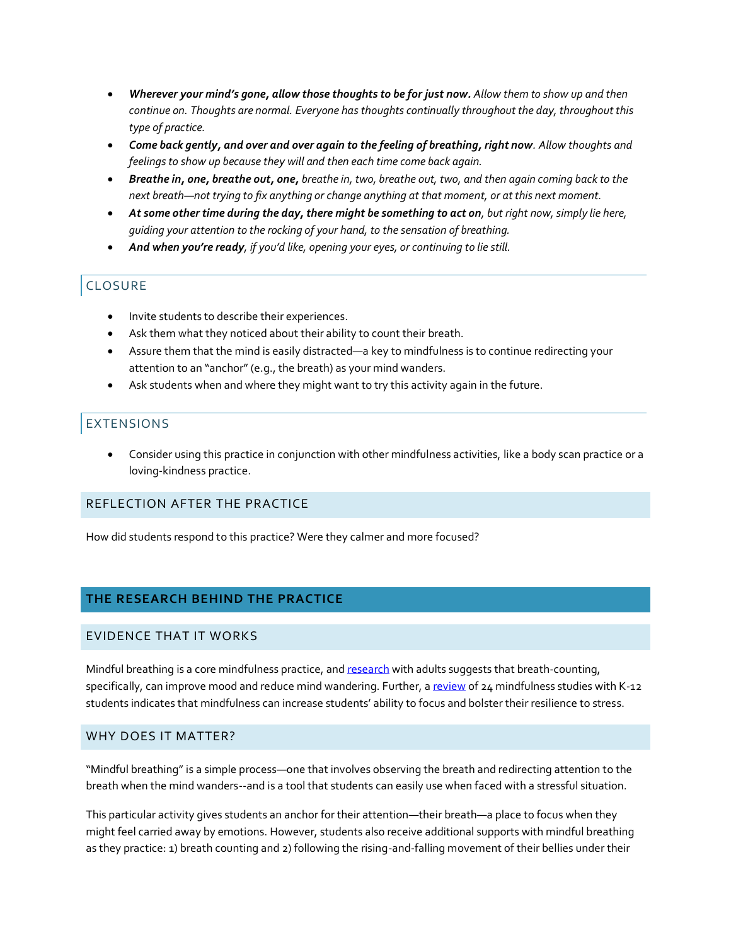- *Wherever your mind's gone, allow those thoughts to be for just now. Allow them to show up and then continue on. Thoughts are normal. Everyone has thoughts continually throughout the day, throughout this type of practice.*
- *Come back gently, and over and over again to the feeling of breathing, right now. Allow thoughts and feelings to show up because they will and then each time come back again.*
- *Breathe in, one, breathe out, one, breathe in, two, breathe out, two, and then again coming back to the next breath—not trying to fix anything or change anything at that moment, or at this next moment.*
- *At some other time during the day, there might be something to act on, but right now, simply lie here, guiding your attention to the rocking of your hand, to the sensation of breathing.*
- *And when you're ready, if you'd like, opening your eyes, or continuing to lie still.*

# **CLOSURE**

- Invite students to describe their experiences.
- Ask them what they noticed about their ability to count their breath.
- Assure them that the mind is easily distracted—a key to mindfulness is to continue redirecting your attention to an "anchor" (e.g., the breath) as your mind wanders.
- Ask students when and where they might want to try this activity again in the future.

# EXTENSIONS

• Consider using this practice in conjunction with other mindfulness activities, like a body scan practice or a loving-kindness practice.

# REFLECTION AFTER THE PRACTICE

How did students respond to this practice? Were they calmer and more focused?

# **THE RESEARCH BEHIND THE PRACTICE**

#### EVIDENCE THAT IT WORKS

Mindful breathing is a core mindfulness practice, an[d research](https://centerhealthyminds.org/news/to-practice-mindfulness-start-by-counting-your-breaths) with adults suggests that breath-counting, specifically, can improve mood and reduce mind wandering. Further, [a review](https://www.ncbi.nlm.nih.gov/pmc/articles/PMC4075476/) of 24 mindfulness studies with K-12 students indicates that mindfulness can increase students' ability to focus and bolster their resilience to stress.

#### WHY DOES IT MATTER?

"Mindful breathing" is a simple process—one that involves observing the breath and redirecting attention to the breath when the mind wanders--and is a tool that students can easily use when faced with a stressful situation.

This particular activity gives students an anchor for their attention—their breath—a place to focus when they might feel carried away by emotions. However, students also receive additional supports with mindful breathing as they practice: 1) breath counting and 2) following the rising-and-falling movement of their bellies under their